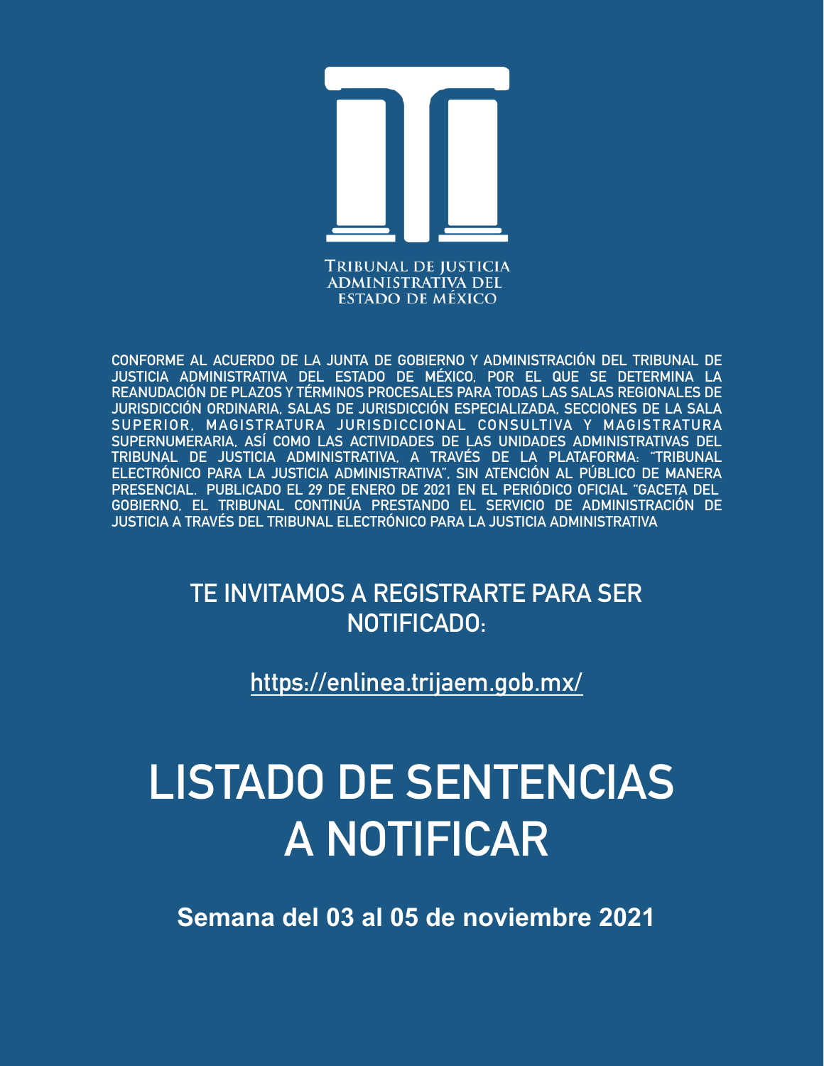

**CONFORME AL ACUERDO DE LA JUNTA DE GOBIERNO Y ADMINISTRACIÓN DEL TRIBUNAL DE JUSTICIA ADMINISTRATIVA DEL ESTADO DE MÉXICO, POR EL QUE SE DETERMINA LA REANUDACIÓN DE PLAZOS Y TÉRMINOS PROCESALES PARA TODAS LAS SALAS REGIONALES DE JURISDICCIÓN ORDINARIA, SALAS DE JURISDICCIÓN ESPECIALIZADA, SECCIONES DE LA SALA SUPERIOR, MAGISTRATURA JURISDICCIONAL CONSULTIVA Y MAGISTRATURA SUPERNUMERARIA, ASÍ COMO LAS ACTIVIDADES DE LAS UNIDADES ADMINISTRATIVAS DEL TRIBUNAL DE JUSTICIA ADMINISTRATIVA, A TRAVÉS DE LA PLATAFORMA: "TRIBUNAL ELECTRÓNICO PARA LA JUSTICIA ADMINISTRATIVA", SIN ATENCIÓN AL PÚBLICO DE MANERA PRESENCIAL. PUBLICADO EL 29 DE ENERO DE 2021 EN EL PERIÓDICO OFICIAL "GACETA DEL GOBIERNO, EL TRIBUNAL CONTINÚA PRESTANDO EL SERVICIO DE ADMINISTRACIÓN DE JUSTICIA A TRAVÉS DEL TRIBUNAL ELECTRÓNICO PARA LA JUSTICIA ADMINISTRATIVA**

> **TE INVITAMOS A REGISTRARTE PARA SER NOTIFICADO:**

> > **<https://enlinea.trijaem.gob.mx/>**

# **LISTADO DE SENTENCIAS A NOTIFICAR**

**Semana del 03 al 05 de noviembre 2021**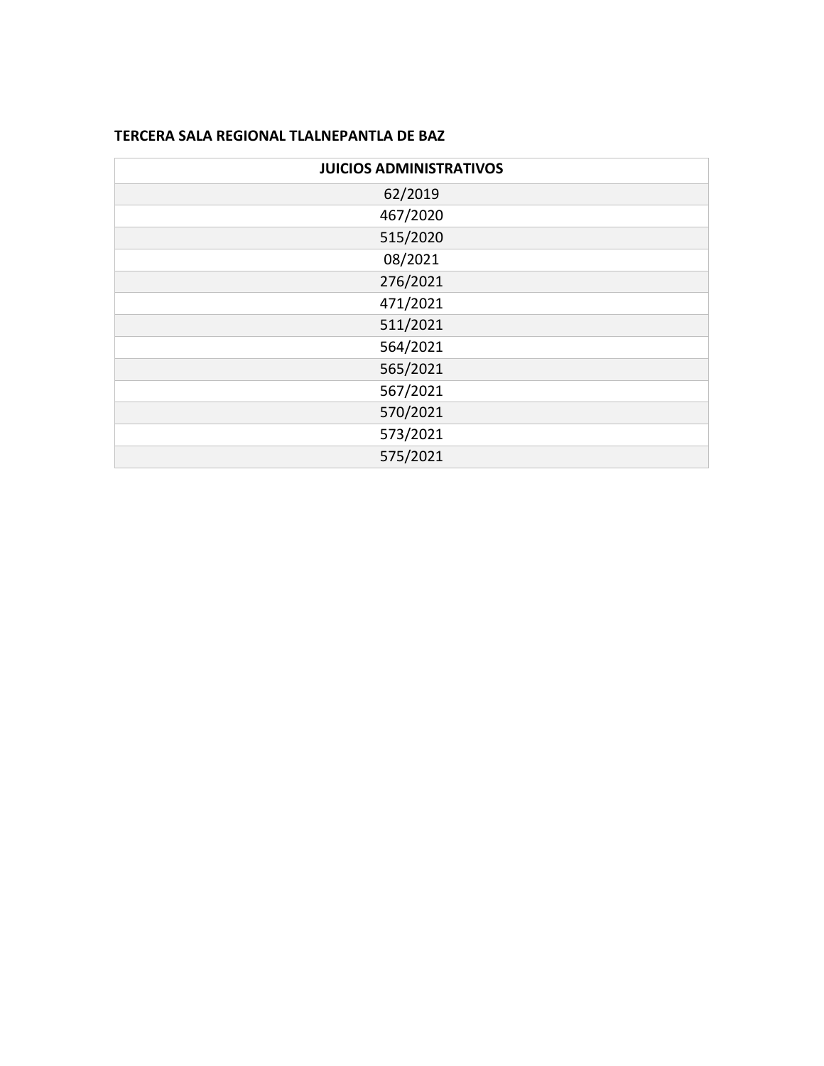### **TERCERA SALA REGIONAL TLALNEPANTLA DE BAZ**

| <b>JUICIOS ADMINISTRATIVOS</b> |
|--------------------------------|
| 62/2019                        |
| 467/2020                       |
| 515/2020                       |
| 08/2021                        |
| 276/2021                       |
| 471/2021                       |
| 511/2021                       |
| 564/2021                       |
| 565/2021                       |
| 567/2021                       |
| 570/2021                       |
| 573/2021                       |
| 575/2021                       |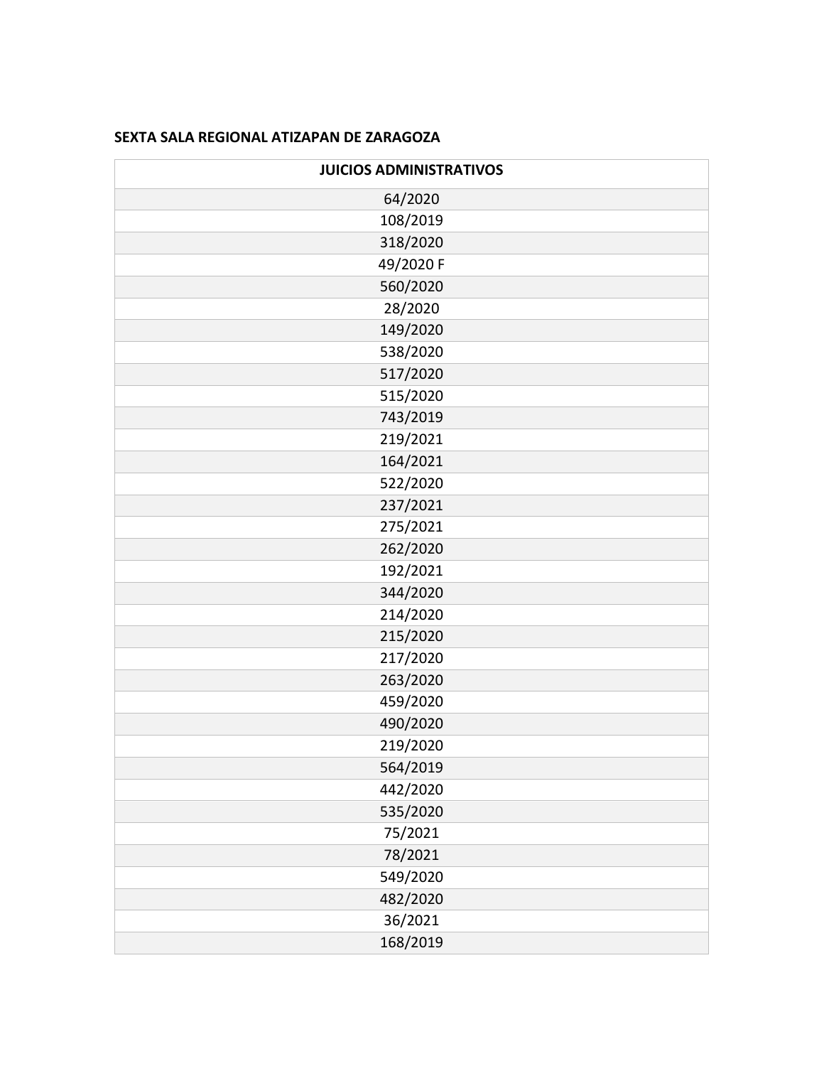#### **SEXTA SALA REGIONAL ATIZAPAN DE ZARAGOZA**

| <b>JUICIOS ADMINISTRATIVOS</b> |
|--------------------------------|
| 64/2020                        |
| 108/2019                       |
| 318/2020                       |
| 49/2020 F                      |
| 560/2020                       |
| 28/2020                        |
| 149/2020                       |
| 538/2020                       |
| 517/2020                       |
| 515/2020                       |
| 743/2019                       |
| 219/2021                       |
| 164/2021                       |
| 522/2020                       |
| 237/2021                       |
| 275/2021                       |
| 262/2020                       |
| 192/2021                       |
| 344/2020                       |
| 214/2020                       |
| 215/2020                       |
| 217/2020                       |
| 263/2020                       |
| 459/2020                       |
| 490/2020                       |
| 219/2020                       |
| 564/2019                       |
| 442/2020                       |
| 535/2020                       |
| 75/2021                        |
| 78/2021                        |
| 549/2020                       |
| 482/2020                       |
| 36/2021                        |
| 168/2019                       |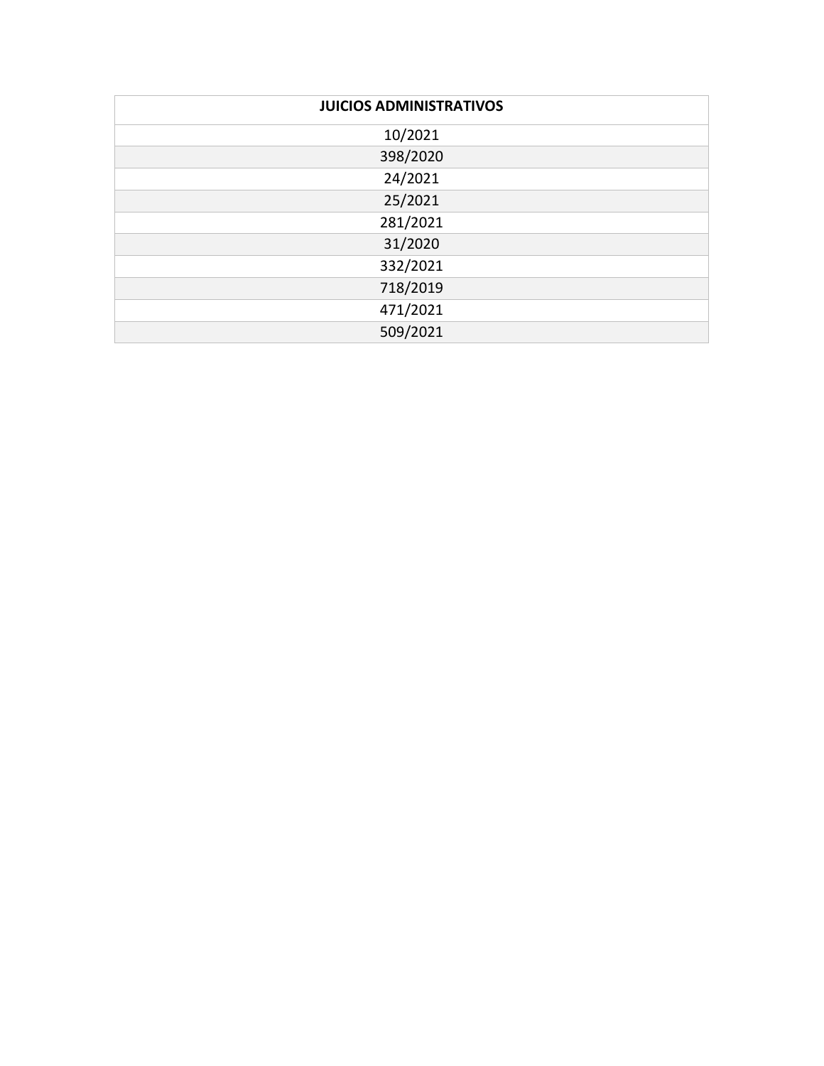| <b>JUICIOS ADMINISTRATIVOS</b> |
|--------------------------------|
| 10/2021                        |
| 398/2020                       |
| 24/2021                        |
| 25/2021                        |
| 281/2021                       |
| 31/2020                        |
| 332/2021                       |
| 718/2019                       |
| 471/2021                       |
| 509/2021                       |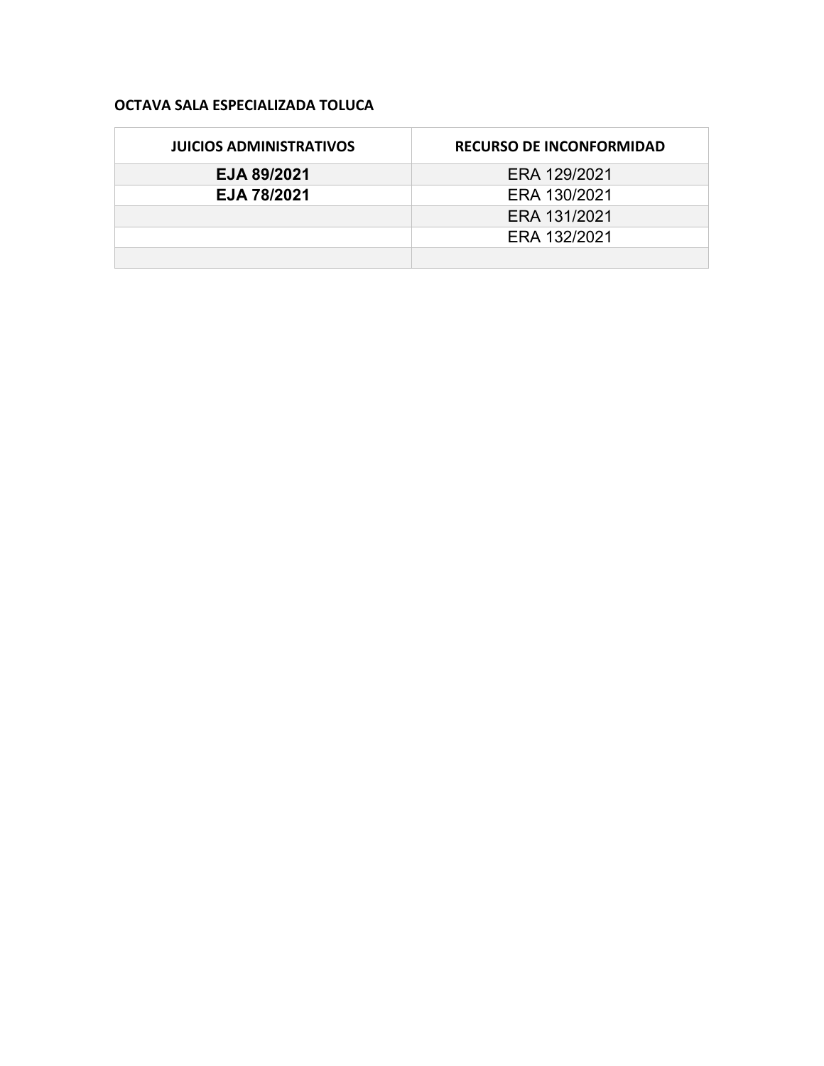#### **OCTAVA SALA ESPECIALIZADA TOLUCA**

| <b>JUICIOS ADMINISTRATIVOS</b> | <b>RECURSO DE INCONFORMIDAD</b> |
|--------------------------------|---------------------------------|
| EJA 89/2021                    | ERA 129/2021                    |
| EJA 78/2021                    | ERA 130/2021                    |
|                                | ERA 131/2021                    |
|                                | ERA 132/2021                    |
|                                |                                 |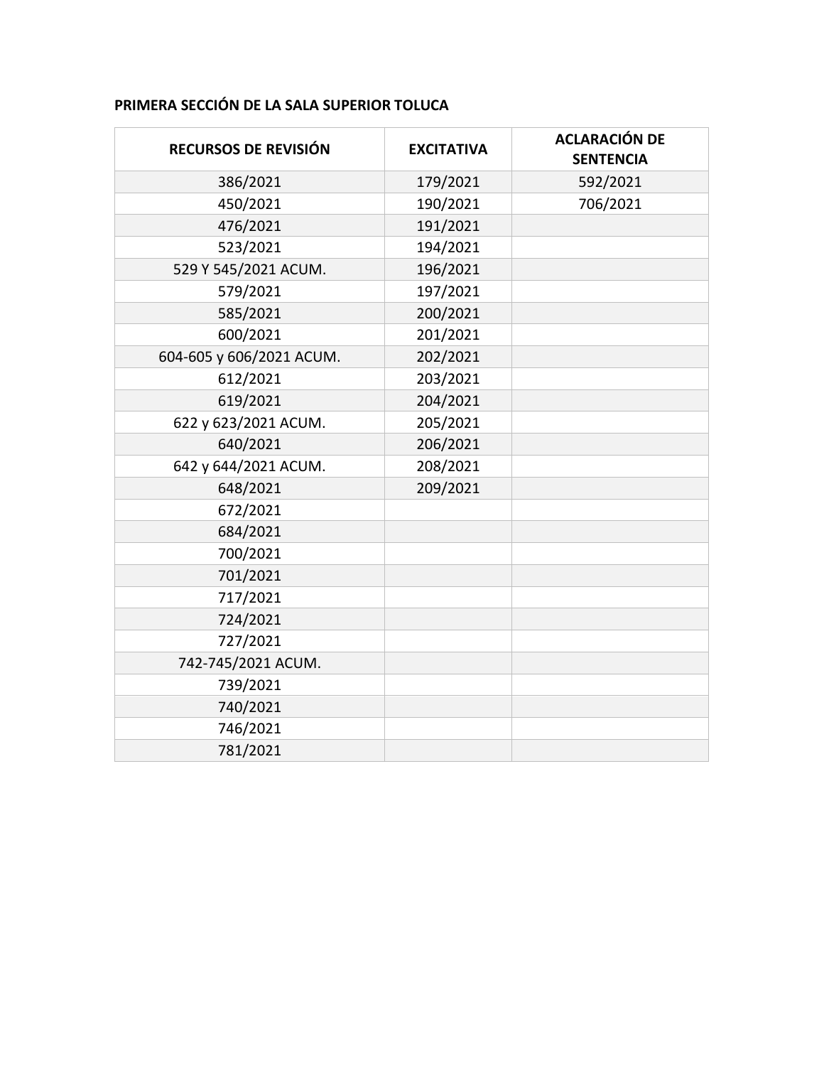## **PRIMERA SECCIÓN DE LA SALA SUPERIOR TOLUCA**

| RECURSOS DE REVISIÓN     | <b>EXCITATIVA</b> | <b>ACLARACIÓN DE</b><br><b>SENTENCIA</b> |
|--------------------------|-------------------|------------------------------------------|
| 386/2021                 | 179/2021          | 592/2021                                 |
| 450/2021                 | 190/2021          | 706/2021                                 |
| 476/2021                 | 191/2021          |                                          |
| 523/2021                 | 194/2021          |                                          |
| 529 Y 545/2021 ACUM.     | 196/2021          |                                          |
| 579/2021                 | 197/2021          |                                          |
| 585/2021                 | 200/2021          |                                          |
| 600/2021                 | 201/2021          |                                          |
| 604-605 y 606/2021 ACUM. | 202/2021          |                                          |
| 612/2021                 | 203/2021          |                                          |
| 619/2021                 | 204/2021          |                                          |
| 622 y 623/2021 ACUM.     | 205/2021          |                                          |
| 640/2021                 | 206/2021          |                                          |
| 642 y 644/2021 ACUM.     | 208/2021          |                                          |
| 648/2021                 | 209/2021          |                                          |
| 672/2021                 |                   |                                          |
| 684/2021                 |                   |                                          |
| 700/2021                 |                   |                                          |
| 701/2021                 |                   |                                          |
| 717/2021                 |                   |                                          |
| 724/2021                 |                   |                                          |
| 727/2021                 |                   |                                          |
| 742-745/2021 ACUM.       |                   |                                          |
| 739/2021                 |                   |                                          |
| 740/2021                 |                   |                                          |
| 746/2021                 |                   |                                          |
| 781/2021                 |                   |                                          |